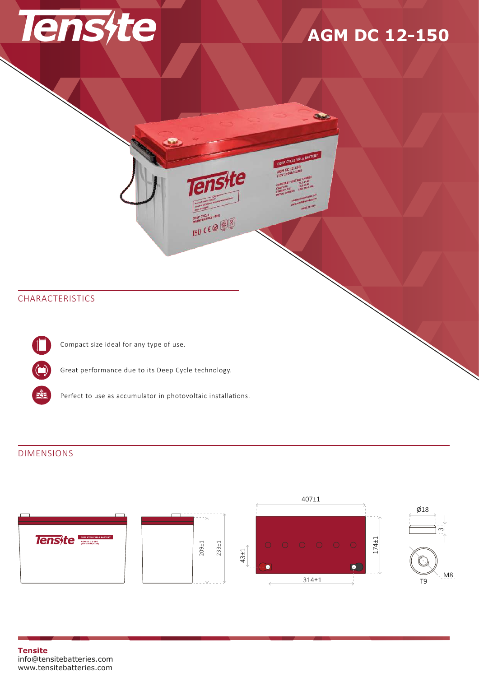

# **AGM DC 12-150**

 $\overline{3}$ 

A BATTERY

## CHARACTERISTICS

Compact size ideal for any type of use.

Great performance due to its Deep Cycle technology.

Perfect to use as accumulator in photovoltaic installations.

### DIMENSIONS

E.



**E**te

**ISO CEO** 

#### **Tensite** info@tensitebatteries.com www.tensitebatteries.com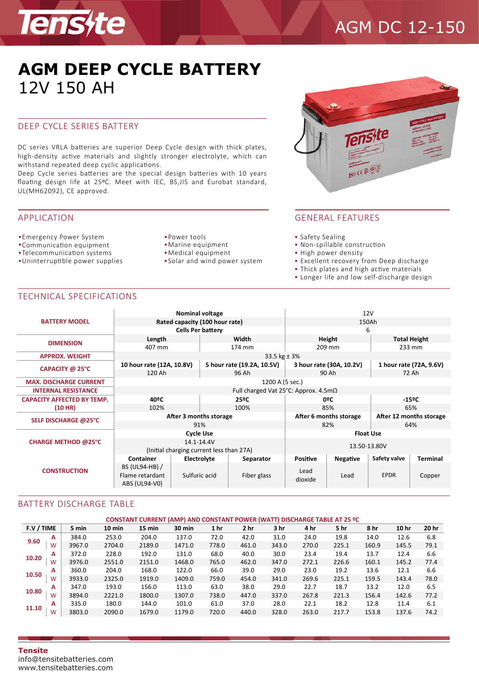

# AGM DC 12-150

## **AGM DEEP CYCLE BATTERY** 12V 150 AH

### DEEP CYCLE SERIES BATTERY

DC series VRLA batteries are superior Deep Cycle design with thick plates, high-density active materials and slightly stronger electrolyte, which can withstand repeated deep cyclic applications.

Deep Cycle series batteries are the special design batteries with 10 years floating design life at 25°C. Meet with IEC, BS,JIS and Eurobat standard, UL(MH62092), CE approved.

### APPLICATION

- Emergency Power System Power tools
- Communication equipment
- **Telecommunication systems**
- Uninterrup�ble power supplies
- 
- Marine equipment
- Medical equipment
- Solar and wind power system



### GENERAL FEATURES

- **Safety Sealing**
- Non-spillable construction
- High power density
- **Excellent recovery from Deep discharge**
- . Thick plates and high active materials
- Longer life and low self-discharge design

### TECHNICAL SPECIFICATIONS

|                                   |                                                         | <b>Nominal voltage</b>                   |                            | 12V                                               |                 |                          |                         |                 |  |
|-----------------------------------|---------------------------------------------------------|------------------------------------------|----------------------------|---------------------------------------------------|-----------------|--------------------------|-------------------------|-----------------|--|
| <b>BATTERY MODEL</b>              |                                                         | Rated capacity (100 hour rate)           |                            | 150Ah                                             |                 |                          |                         |                 |  |
|                                   |                                                         | <b>Cells Per battery</b>                 |                            |                                                   |                 | 6                        |                         |                 |  |
| <b>DIMENSION</b>                  | Length                                                  |                                          | Width                      |                                                   |                 | Height                   | <b>Total Height</b>     |                 |  |
|                                   | 407 mm                                                  |                                          | 174 mm                     |                                                   |                 | 209 mm                   | 233 mm                  |                 |  |
| <b>APPROX. WEIGHT</b>             | 33.5 $kg \pm 3%$                                        |                                          |                            |                                                   |                 |                          |                         |                 |  |
| CAPACITY @ 25°C                   | 10 hour rate (12A, 10.8V)                               |                                          | 5 hour rate (19.2A, 10.5V) |                                                   |                 | 3 hour rate (30A, 10.2V) | 1 hour rate (72A, 9.6V) |                 |  |
|                                   | 120 Ah                                                  |                                          | 96 Ah                      |                                                   |                 | 90 Ah                    | 72 Ah                   |                 |  |
| <b>MAX. DISCHARGE CURRENT</b>     | 1200 A (5 sec.)                                         |                                          |                            |                                                   |                 |                          |                         |                 |  |
| <b>INTERNAL RESISTANCE</b>        | Full charged Vat 25 $^{\circ}$ C: Approx. 4.5m $\Omega$ |                                          |                            |                                                   |                 |                          |                         |                 |  |
| <b>CAPACITY AFFECTED BY TEMP.</b> | 40ºC                                                    |                                          |                            | 25ºC                                              |                 | 0ºC                      | $-15^{\circ}$ C         |                 |  |
| (10 HR)                           | 102%                                                    |                                          | 100%                       |                                                   |                 | 85%                      | 65%                     |                 |  |
| SELF DISCHARGE @25°C              |                                                         | After 3 months storage                   |                            | After 12 months storage<br>After 6 months storage |                 |                          |                         |                 |  |
|                                   |                                                         | 91%                                      |                            |                                                   | 82%             | 64%                      |                         |                 |  |
| <b>CHARGE METHOD @25°C</b>        |                                                         | <b>Cycle Use</b>                         |                            | <b>Float Use</b>                                  |                 |                          |                         |                 |  |
|                                   |                                                         | 14.1-14.4V                               |                            | 13.50-13.80V                                      |                 |                          |                         |                 |  |
|                                   |                                                         | (Initial charging current less than 27A) |                            |                                                   |                 |                          |                         |                 |  |
|                                   | Container                                               | Electrolyte                              |                            | Separator                                         | <b>Positive</b> | Negative                 | Safety valve            | <b>Terminal</b> |  |
| <b>CONSTRUCTION</b>               | BS (UL94-HB) /                                          | Sulfuric acid                            |                            | Fiber glass                                       | Lead<br>dioxide | Lead                     |                         | Copper          |  |
|                                   | Flame retardant                                         |                                          |                            |                                                   |                 |                          | <b>EPDR</b>             |                 |  |
|                                   | ABS (UL94-V0)                                           |                                          |                            |                                                   |                 |                          |                         |                 |  |

### BATTERY DISCHARGE TABLE

| <b>CONSTANT CURRENT (AMP) AND CONSTANT POWER (WATT) DISCHARGE TABLE AT 25 ºC</b> |   |        |          |        |        |                 |                 |                 |       |       |       |       |       |
|----------------------------------------------------------------------------------|---|--------|----------|--------|--------|-----------------|-----------------|-----------------|-------|-------|-------|-------|-------|
| F.V / TIME                                                                       |   | 5 min  | $10$ min | 15 min | 30 min | 1 <sub>hr</sub> | 2 <sub>hr</sub> | 3 <sub>hr</sub> | 4 hr  | 5 hr  | 8 hr  | 10 hr | 20 hr |
| 9.60                                                                             | A | 384.0  | 253.0    | 204.0  | 137.0  | 72.0            | 42.0            | 31.0            | 24.0  | 19.8  | 14.0  | 12.6  | 6.8   |
|                                                                                  | W | 3967.0 | 2704.0   | 2189.0 | 1471.0 | 778.0           | 461.0           | 343.0           | 270.0 | 225.1 | 160.9 | 145.5 | 79.1  |
| 10.20                                                                            | A | 372.0  | 228.0    | 192.0  | 131.0  | 68.0            | 40.0            | 30.0            | 23.4  | 19.4  | 13.7  | 12.4  | 6.6   |
|                                                                                  | W | 3976.0 | 2551.0   | 2151.0 | 1468.0 | 765.0           | 462.0           | 347.0           | 272.1 | 226.6 | 160.1 | 145.2 | 77.4  |
| 10.50                                                                            | A | 360.0  | 204.0    | 168.0  | 122.0  | 66.0            | 39.0            | 29.0            | 23.0  | 19.2  | 13.6  | 12.1  | 6.6   |
|                                                                                  | W | 3933.0 | 2325.0   | 1919.0 | 1409.0 | 759.0           | 454.0           | 341.0           | 269.6 | 225.1 | 159.5 | 143.4 | 78.0  |
| 10.80                                                                            | A | 347.0  | 193.0    | 156.0  | 113.0  | 63.0            | 38.0            | 29.0            | 22.7  | 18.7  | 13.2  | 12.0  | 6.5   |
|                                                                                  | W | 3894.0 | 2221.0   | 1800.0 | 1307.0 | 738.0           | 447.0           | 337.0           | 267.8 | 221.3 | 156.4 | 142.6 | 77.2  |
| 11.10                                                                            | A | 335.0  | 180.0    | 144.0  | 101.0  | 61.0            | 37.0            | 28.0            | 22.1  | 18.2  | 12.8  | 11.4  | 6.1   |
|                                                                                  | W | 3803.0 | 2090.0   | 1679.0 | 1179.0 | 720.0           | 440.0           | 328.0           | 263.0 | 217.7 | 153.8 | 137.6 | 74.2  |